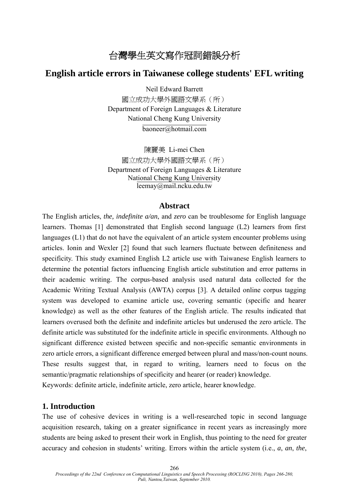# 台灣學生英文寫作冠詞錯誤分析

# **English article errors in Taiwanese college students' EFL writing**

Neil Edward Barrett

國立成功大學外國語文學系(所) Department of Foreign Languages & Literature National Cheng Kung University baoneer@hotmail.com

陳麗美 Li-mei Chen 國立成功大學外國語文學系(所) Department of Foreign Languages & Literature National Cheng Kung University leemay@mail.ncku.edu.tw

### **Abstract**

The English articles, *the, indefinite a/an*, and *zero* can be troublesome for English language learners. Thomas [1] demonstrated that English second language (L2) learners from first languages (L1) that do not have the equivalent of an article system encounter problems using articles. Ionin and Wexler [2] found that such learners fluctuate between definiteness and specificity. This study examined English L2 article use with Taiwanese English learners to determine the potential factors influencing English article substitution and error patterns in their academic writing. The corpus-based analysis used natural data collected for the Academic Writing Textual Analysis (AWTA) corpus [3]. A detailed online corpus tagging system was developed to examine article use, covering semantic (specific and hearer knowledge) as well as the other features of the English article. The results indicated that learners overused both the definite and indefinite articles but underused the zero article. The definite article was substituted for the indefinite article in specific environments. Although no significant difference existed between specific and non-specific semantic environments in zero article errors, a significant difference emerged between plural and mass/non-count nouns. These results suggest that, in regard to writing, learners need to focus on the semantic/pragmatic relationships of specificity and hearer (or reader) knowledge. Keywords: definite article, indefinite article, zero article, hearer knowledge.

### **1. Introduction**

The use of cohesive devices in writing is a well-researched topic in second language acquisition research, taking on a greater significance in recent years as increasingly more students are being asked to present their work in English, thus pointing to the need for greater accuracy and cohesion in students' writing. Errors within the article system (i.e., *a*, *an*, *the*,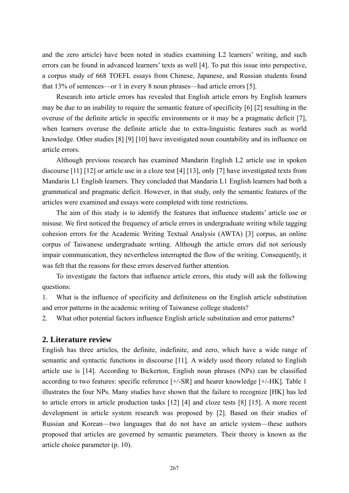and the zero article) have been noted in studies examining L2 learners' writing, and such errors can be found in advanced learners' texts as well [4]. To put this issue into perspective, a corpus study of 668 TOEFL essays from Chinese, Japanese, and Russian students found that 13% of sentences—or 1 in every 8 noun phrases—had article errors [5].

Research into article errors has revealed that English article errors by English learners may be due to an inability to require the semantic feature of specificity [6] [2] resulting in the overuse of the definite article in specific environments or it may be a pragmatic deficit [7], when learners overuse the definite article due to extra-linguistic features such as world knowledge. Other studies [8] [9] [10] have investigated noun countability and its influence on article errors.

Although previous research has examined Mandarin English L2 article use in spoken discourse [11] [12] or article use in a cloze test [4] [13], only [7] have investigated texts from Mandarin L1 English learners. They concluded that Mandarin L1 English learners had both a grammatical and pragmatic deficit. However, in that study, only the semantic features of the articles were examined and essays were completed with time restrictions.

The aim of this study is to identify the features that influence students' article use or misuse. We first noticed the frequency of article errors in undergraduate writing while tagging cohesion errors for the Academic Writing Textual Analysis (AWTA) [3] corpus, an online corpus of Taiwanese undergraduate writing. Although the article errors did not seriously impair communication, they nevertheless interrupted the flow of the writing. Consequently, it was felt that the reasons for these errors deserved further attention.

To investigate the factors that influence article errors, this study will ask the following questions:

1. What is the influence of specificity and definiteness on the English article substitution and error patterns in the academic writing of Taiwanese college students?

2. What other potential factors influence English article substitution and error patterns?

## **2. Literature review**

English has three articles, the definite, indefinite, and zero, which have a wide range of semantic and syntactic functions in discourse [11]. A widely used theory related to English article use is [14]. According to Bickerton, English noun phrases (NPs) can be classified according to two features: specific reference [+/-SR] and hearer knowledge [+/-HK]. Table 1 illustrates the four NPs. Many studies have shown that the failure to recognize [HK] has led to article errors in article production tasks [12] [4] and cloze tests [8] [15]. A more recent development in article system research was proposed by [2]. Based on their studies of Russian and Korean—two languages that do not have an article system—these authors proposed that articles are governed by semantic parameters. Their theory is known as the article choice parameter (p. 10).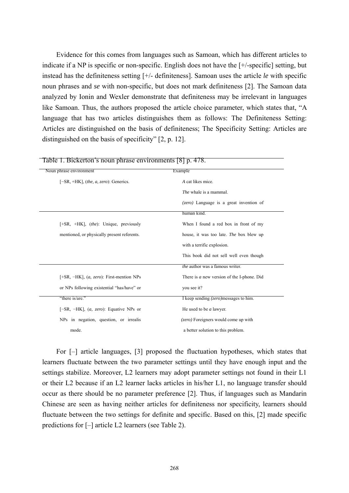Evidence for this comes from languages such as Samoan, which has different articles to indicate if a NP is specific or non-specific. English does not have the [+/-specific] setting, but instead has the definiteness setting [+/- definiteness]. Samoan uses the article *le* with specific noun phrases and *se* with non-specific, but does not mark definiteness [2]. The Samoan data analyzed by Ionin and Wexler demonstrate that definiteness may be irrelevant in languages like Samoan. Thus, the authors proposed the article choice parameter, which states that, "A language that has two articles distinguishes them as follows: The Definiteness Setting: Articles are distinguished on the basis of definiteness; The Specificity Setting: Articles are distinguished on the basis of specificity" [2, p. 12].

| Noun phrase environment                              | Example                                         |
|------------------------------------------------------|-------------------------------------------------|
| $[-SR, +HK]$ , (the, a, zero): Generics.             | A cat likes mice.                               |
|                                                      | <i>The</i> whale is a mammal.                   |
|                                                      | (zero) Language is a great invention of         |
|                                                      | human kind.                                     |
| $[+SR, +HK]$ , <i>(the)</i> : Unique, previously     | When I found a red box in front of my           |
| mentioned, or physically present referents.          | house, it was too late. The box blew up         |
|                                                      | with a terrific explosion.                      |
|                                                      | This book did not sell well even though         |
|                                                      | the author was a famous writer.                 |
| [+SR, $-HK$ ], ( <i>a, zero</i> ): First-mention NPs | There is $a$ new version of the I-phone. Did    |
| or NPs following existential "has/have" or           | you see it?                                     |
| "there is/are."                                      | I keep sending ( <i>zero</i> ) messages to him. |
| $[-SR, -HK]$ , ( <i>a, zero</i> ): Equative NPs or   | He used to be <i>a</i> lawyer.                  |
| NPs in negation, question, or irrealis               | (zero) Foreigners would come up with            |
| mode.                                                | a better solution to this problem.              |

Table 1. Bickerton's noun phrase environments [8] p. 478.

For [–] article languages, [3] proposed the fluctuation hypotheses, which states that learners fluctuate between the two parameter settings until they have enough input and the settings stabilize. Moreover, L2 learners may adopt parameter settings not found in their L1 or their L2 because if an L2 learner lacks articles in his/her L1, no language transfer should occur as there should be no parameter preference [2]. Thus, if languages such as Mandarin Chinese are seen as having neither articles for definiteness nor specificity, learners should fluctuate between the two settings for definite and specific. Based on this, [2] made specific predictions for [–] article L2 learners (see Table 2).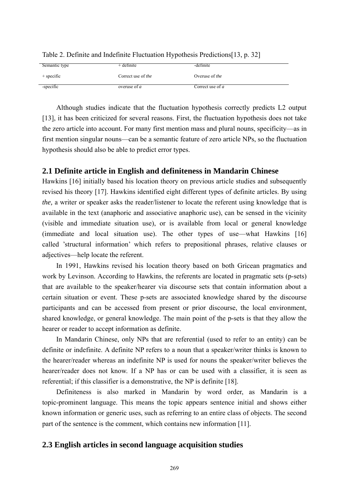| Semantic type | + definite         | -definite        |
|---------------|--------------------|------------------|
| $+$ specific  | Correct use of the | Overuse of the   |
| -specific     | overuse of $a$     | Correct use of a |

Table 2. Definite and Indefinite Fluctuation Hypothesis Predictions[13, p. 32]

Although studies indicate that the fluctuation hypothesis correctly predicts L2 output [13], it has been criticized for several reasons. First, the fluctuation hypothesis does not take the zero article into account. For many first mention mass and plural nouns, specificity—as in first mention singular nouns—can be a semantic feature of zero article NPs, so the fluctuation hypothesis should also be able to predict error types.

# **2.1 Definite article in English and definiteness in Mandarin Chinese**

Hawkins [16] initially based his location theory on previous article studies and subsequently revised his theory [17]. Hawkins identified eight different types of definite articles. By using *the,* a writer or speaker asks the reader/listener to locate the referent using knowledge that is available in the text (anaphoric and associative anaphoric use), can be sensed in the vicinity (visible and immediate situation use), or is available from local or general knowledge (immediate and local situation use). The other types of use—what Hawkins [16] called 'structural information' which refers to prepositional phrases, relative clauses or adjectives—help locate the referent.

In 1991, Hawkins revised his location theory based on both Gricean pragmatics and work by Levinson. According to Hawkins, the referents are located in pragmatic sets (p-sets) that are available to the speaker/hearer via discourse sets that contain information about a certain situation or event. These p-sets are associated knowledge shared by the discourse participants and can be accessed from present or prior discourse, the local environment, shared knowledge, or general knowledge. The main point of the p-sets is that they allow the hearer or reader to accept information as definite.

In Mandarin Chinese, only NPs that are referential (used to refer to an entity) can be definite or indefinite. A definite NP refers to a noun that a speaker/writer thinks is known to the hearer/reader whereas an indefinite NP is used for nouns the speaker/writer believes the hearer/reader does not know. If a NP has or can be used with a classifier, it is seen as referential; if this classifier is a demonstrative, the NP is definite [18].

Definiteness is also marked in Mandarin by word order, as Mandarin is a topic-prominent language. This means the topic appears sentence initial and shows either known information or generic uses, such as referring to an entire class of objects. The second part of the sentence is the comment, which contains new information [11].

# **2.3 English articles in second language acquisition studies**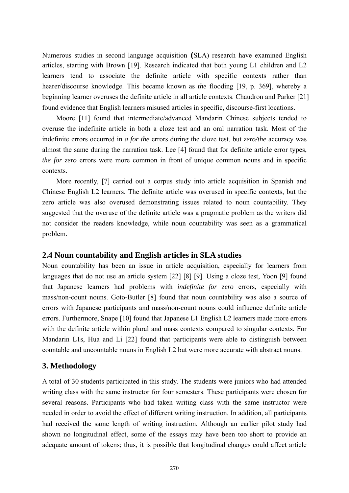Numerous studies in second language acquisition **(**SLA) research have examined English articles, starting with Brown [19]. Research indicated that both young L1 children and L2 learners tend to associate the definite article with specific contexts rather than hearer/discourse knowledge. This became known as *the* flooding [19, p. 369], whereby a beginning learner overuses the definite article in all article contexts. Chaudron and Parker [21] found evidence that English learners misused articles in specific, discourse-first locations.

Moore [11] found that intermediate/advanced Mandarin Chinese subjects tended to overuse the indefinite article in both a cloze test and an oral narration task. Most of the indefinite errors occurred in *a for the* errors during the cloze test, but *zero/the* accuracy was almost the same during the narration task. Lee [4] found that for definite article error types, *the for zero* errors were more common in front of unique common nouns and in specific contexts.

More recently, [7] carried out a corpus study into article acquisition in Spanish and Chinese English L2 learners. The definite article was overused in specific contexts, but the zero article was also overused demonstrating issues related to noun countability. They suggested that the overuse of the definite article was a pragmatic problem as the writers did not consider the readers knowledge, while noun countability was seen as a grammatical problem.

## **2.4 Noun countability and English articles in SLA studies**

Noun countability has been an issue in article acquisition, especially for learners from languages that do not use an article system [22] [8] [9]. Using a cloze test, Yoon [9] found that Japanese learners had problems with *indefinite for zero* errors, especially with mass/non-count nouns. Goto-Butler [8] found that noun countability was also a source of errors with Japanese participants and mass/non-count nouns could influence definite article errors. Furthermore, Snape [10] found that Japanese L1 English L2 learners made more errors with the definite article within plural and mass contexts compared to singular contexts. For Mandarin L1s, Hua and Li [22] found that participants were able to distinguish between countable and uncountable nouns in English L2 but were more accurate with abstract nouns.

# **3. Methodology**

A total of 30 students participated in this study. The students were juniors who had attended writing class with the same instructor for four semesters. These participants were chosen for several reasons. Participants who had taken writing class with the same instructor were needed in order to avoid the effect of different writing instruction. In addition, all participants had received the same length of writing instruction. Although an earlier pilot study had shown no longitudinal effect, some of the essays may have been too short to provide an adequate amount of tokens; thus, it is possible that longitudinal changes could affect article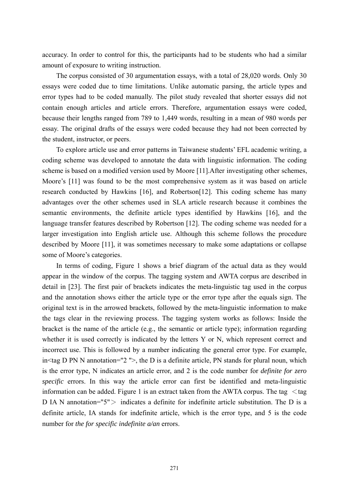accuracy. In order to control for this, the participants had to be students who had a similar amount of exposure to writing instruction.

The corpus consisted of 30 argumentation essays, with a total of 28,020 words. Only 30 essays were coded due to time limitations. Unlike automatic parsing, the article types and error types had to be coded manually. The pilot study revealed that shorter essays did not contain enough articles and article errors. Therefore, argumentation essays were coded, because their lengths ranged from 789 to 1,449 words, resulting in a mean of 980 words per essay. The original drafts of the essays were coded because they had not been corrected by the student, instructor, or peers.

To explore article use and error patterns in Taiwanese students' EFL academic writing, a coding scheme was developed to annotate the data with linguistic information. The coding scheme is based on a modified version used by Moore [11].After investigating other schemes, Moore's [11] was found to be the most comprehensive system as it was based on article research conducted by Hawkins [16], and Robertson[12]. This coding scheme has many advantages over the other schemes used in SLA article research because it combines the semantic environments, the definite article types identified by Hawkins [16], and the language transfer features described by Robertson [12]. The coding scheme was needed for a larger investigation into English article use. Although this scheme follows the procedure described by Moore [11], it was sometimes necessary to make some adaptations or collapse some of Moore's categories.

In terms of coding, Figure 1 shows a brief diagram of the actual data as they would appear in the window of the corpus. The tagging system and AWTA corpus are described in detail in [23]. The first pair of brackets indicates the meta-linguistic tag used in the corpus and the annotation shows either the article type or the error type after the equals sign. The original text is in the arrowed brackets, followed by the meta-linguistic information to make the tags clear in the reviewing process. The tagging system works as follows: Inside the bracket is the name of the article (e.g., the semantic or article type); information regarding whether it is used correctly is indicated by the letters Y or N, which represent correct and incorrect use. This is followed by a number indicating the general error type. For example, in $\leq$ tag D PN N annotation="2" $>$ , the D is a definite article, PN stands for plural noun, which is the error type, N indicates an article error, and 2 is the code number for *definite for zero specific* errors. In this way the article error can first be identified and meta-linguistic information can be added. Figure 1 is an extract taken from the AWTA corpus. The tag  $\lt$ tag D IA N annotation=" $5"$  indicates a definite for indefinite article substitution. The D is a definite article, IA stands for indefinite article, which is the error type, and 5 is the code number for *the for specific indefinite a/an* errors.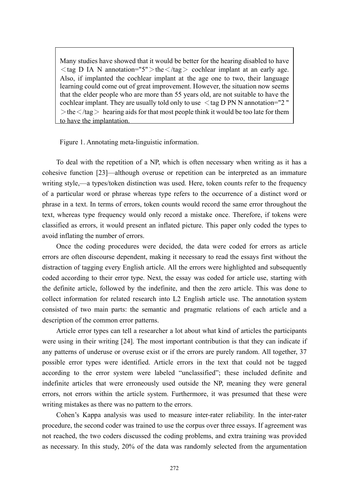Many studies have showed that it would be better for the hearing disabled to have  $\langle$  tag D IA N annotation="5" $>$  the $\langle$ /tag $>$  cochlear implant at an early age. Also, if implanted the cochlear implant at the age one to two, their language learning could come out of great improvement. However, the situation now seems that the elder people who are more than 55 years old, are not suitable to have the cochlear implant. They are usually told only to use  $\lt$  tag D PN N annotation="2"  $>\text{the}$  </tag > hearing aids for that most people think it would be too late for them to have the implantation.

Figure 1. Annotating meta-linguistic information.

To deal with the repetition of a NP, which is often necessary when writing as it has a cohesive function [23]—although overuse or repetition can be interpreted as an immature writing style,—a types/token distinction was used. Here, token counts refer to the frequency of a particular word or phrase whereas type refers to the occurrence of a distinct word or phrase in a text. In terms of errors, token counts would record the same error throughout the text, whereas type frequency would only record a mistake once. Therefore, if tokens were classified as errors, it would present an inflated picture. This paper only coded the types to avoid inflating the number of errors.

Once the coding procedures were decided, the data were coded for errors as article errors are often discourse dependent, making it necessary to read the essays first without the distraction of tagging every English article. All the errors were highlighted and subsequently coded according to their error type. Next, the essay was coded for article use, starting with the definite article, followed by the indefinite, and then the zero article. This was done to collect information for related research into L2 English article use. The annotation system consisted of two main parts: the semantic and pragmatic relations of each article and a description of the common error patterns.

Article error types can tell a researcher a lot about what kind of articles the participants were using in their writing [24]. The most important contribution is that they can indicate if any patterns of underuse or overuse exist or if the errors are purely random. All together, 37 possible error types were identified. Article errors in the text that could not be tagged according to the error system were labeled "unclassified"; these included definite and indefinite articles that were erroneously used outside the NP, meaning they were general errors, not errors within the article system. Furthermore, it was presumed that these were writing mistakes as there was no pattern to the errors.

Cohen's Kappa analysis was used to measure inter-rater reliability. In the inter-rater procedure, the second coder was trained to use the corpus over three essays. If agreement was not reached, the two coders discussed the coding problems, and extra training was provided as necessary. In this study, 20% of the data was randomly selected from the argumentation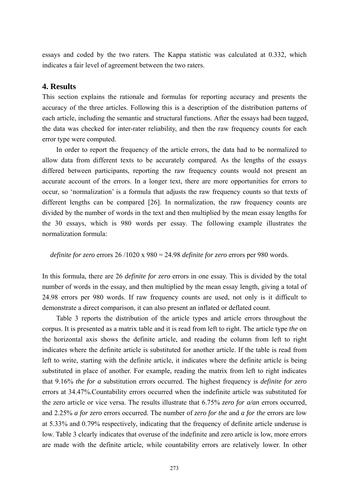essays and coded by the two raters. The Kappa statistic was calculated at 0.332, which indicates a fair level of agreement between the two raters.

## **4. Results**

This section explains the rationale and formulas for reporting accuracy and presents the accuracy of the three articles. Following this is a description of the distribution patterns of each article, including the semantic and structural functions. After the essays had been tagged, the data was checked for inter-rater reliability, and then the raw frequency counts for each error type were computed.

 In order to report the frequency of the article errors, the data had to be normalized to allow data from different texts to be accurately compared. As the lengths of the essays differed between participants, reporting the raw frequency counts would not present an accurate account of the errors. In a longer text, there are more opportunities for errors to occur, so 'normalization' is a formula that adjusts the raw frequency counts so that texts of different lengths can be compared [26]. In normalization, the raw frequency counts are divided by the number of words in the text and then multiplied by the mean essay lengths for the 30 essays, which is 980 words per essay. The following example illustrates the normalization formula:

#### *definite for zero* errors 26 /1020 x 980 = 24.98 *definite for zero* errors per 980 words.

In this formula, there are 26 *definite for zero* errors in one essay. This is divided by the total number of words in the essay, and then multiplied by the mean essay length, giving a total of 24.98 errors per 980 words. If raw frequency counts are used, not only is it difficult to demonstrate a direct comparison, it can also present an inflated or deflated count.

Table 3 reports the distribution of the article types and article errors throughout the corpus. It is presented as a matrix table and it is read from left to right. The article type *the* on the horizontal axis shows the definite article, and reading the column from left to right indicates where the definite article is substituted for another article. If the table is read from left to write, starting with the definite article, it indicates where the definite article is being substituted in place of another. For example, reading the matrix from left to right indicates that 9.16% *the for a* substitution errors occurred. The highest frequency is *definite for zero*  errors at 34.47%.Countability errors occurred when the indefinite article was substituted for the zero article or vice versa. The results illustrate that 6.75% *zero for a/an* errors occurred, and 2.25% *a for zero* errors occurred. The number of *zero for the* and *a for the* errors are low at 5.33% and 0.79% respectively, indicating that the frequency of definite article underuse is low. Table 3 clearly indicates that overuse of the indefinite and zero article is low, more errors are made with the definite article, while countability errors are relatively lower. In other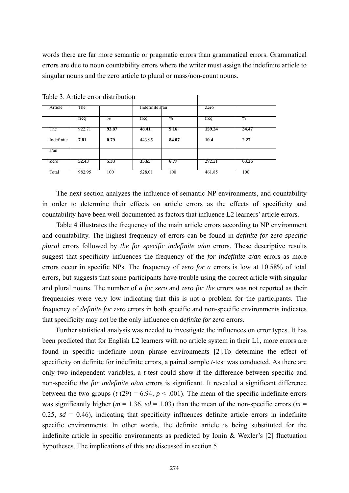words there are far more semantic or pragmatic errors than grammatical errors. Grammatical errors are due to noun countability errors where the writer must assign the indefinite article to singular nouns and the zero article to plural or mass/non-count nouns.

 $\overline{1}$ 

| Article    | The    |               | Indefinite a/an |                | Zero   |               |
|------------|--------|---------------|-----------------|----------------|--------|---------------|
|            | freq   | $\frac{0}{2}$ | freq            | $\frac{6}{10}$ | freq   | $\frac{0}{2}$ |
| The        | 922.71 | 93.87         | 48.41           | 9.16           | 159.24 | 34.47         |
| Indefinite | 7.81   | 0.79          | 443.95          | 84.07          | 10.4   | 2.27          |
| a/an       |        |               |                 |                |        |               |
| Zero       | 52.43  | 5.33          | 35.65           | 6.77           | 292.21 | 63.26         |
| Total      | 982.95 | 100           | 528.01          | 100            | 461.85 | 100           |

Table 3. Article error distribution

The next section analyzes the influence of semantic NP environments, and countability in order to determine their effects on article errors as the effects of specificity and countability have been well documented as factors that influence L2 learners' article errors.

Table 4 illustrates the frequency of the main article errors according to NP environment and countability. The highest frequency of errors can be found in *definite for zero specific plural* errors followed by *the for specific indefinite a/an* errors. These descriptive results suggest that specificity influences the frequency of the *for indefinite a/an* errors as more errors occur in specific NPs. The frequency of *zero for a* errors is low at 10.58% of total errors, but suggests that some participants have trouble using the correct article with singular and plural nouns. The number of *a for zero* and *zero for the* errors was not reported as their frequencies were very low indicating that this is not a problem for the participants. The frequency of *definite for zero* errors in both specific and non-specific environments indicates that specificity may not be the only influence on *definite for zero* errors.

Further statistical analysis was needed to investigate the influences on error types. It has been predicted that for English L2 learners with no article system in their L1, more errors are found in specific indefinite noun phrase environments [2].To determine the effect of specificity on definite for indefinite errors, a paired sample *t*-test was conducted. As there are only two independent variables, a *t*-test could show if the difference between specific and non-specific *the for indefinite a/an* errors is significant. It revealed a significant difference between the two groups ( $t(29) = 6.94$ ,  $p < .001$ ). The mean of the specific indefinite errors was significantly higher ( $m = 1.36$ ,  $sd = 1.03$ ) than the mean of the non-specific errors ( $m =$ 0.25,  $sd = 0.46$ ), indicating that specificity influences definite article errors in indefinite specific environments. In other words, the definite article is being substituted for the indefinite article in specific environments as predicted by Ionin & Wexler's [2] fluctuation hypotheses. The implications of this are discussed in section 5.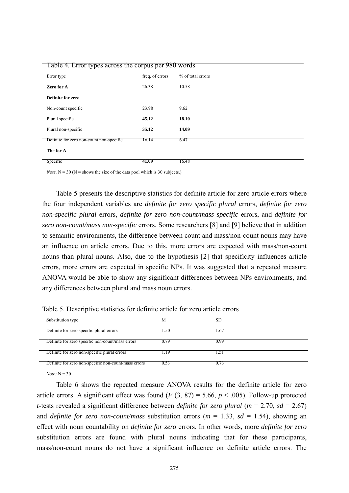| $\cdots$ $\cdots$<br>in a subject to the contract of the contract of the contract of the contract of the contract of the contract of |                 |                   |
|--------------------------------------------------------------------------------------------------------------------------------------|-----------------|-------------------|
| Error type                                                                                                                           | freq. of errors | % of total errors |
| Zero for A                                                                                                                           | 26.38           | 10.58             |
| Definite for zero                                                                                                                    |                 |                   |
| Non-count specific                                                                                                                   | 23.98           | 9.62              |
| Plural specific                                                                                                                      | 45.12           | 18.10             |
| Plural non-specific                                                                                                                  | 35.12           | 14.09             |
| Definite for zero non-count non-specific                                                                                             | 16.14           | 6.47              |
| The for A                                                                                                                            |                 |                   |
| Specific                                                                                                                             | 41.09           | 16.48             |

Table 4*.* Error types across the corpus per 980 words

*Note*.  $N = 30$  ( $N =$  shows the size of the data pool which is 30 subjects.)

Table 5 presents the descriptive statistics for definite article for zero article errors where the four independent variables are *definite for zero specific plural* errors, *definite for zero non-specific plural* errors, *definite for zero non-count/mass specific* errors, and *definite for zero non-count/mass non-specific* errors. Some researchers [8] and [9] believe that in addition to semantic environments, the difference between count and mass/non-count nouns may have an influence on article errors. Due to this, more errors are expected with mass/non-count nouns than plural nouns. Also, due to the hypothesis [2] that specificity influences article errors, more errors are expected in specific NPs. It was suggested that a repeated measure ANOVA would be able to show any significant differences between NPs environments, and any differences between plural and mass noun errors.

| Table 5. Descriptive statistics for definite article for zero article errors |      |      |  |  |
|------------------------------------------------------------------------------|------|------|--|--|
|                                                                              |      |      |  |  |
| Substitution type                                                            |      | SD   |  |  |
|                                                                              |      |      |  |  |
| Definite for zero specific plural errors                                     | .50  | .67  |  |  |
|                                                                              |      |      |  |  |
| Definite for zero specific non-count/mass errors                             | 0.79 | 0.99 |  |  |
|                                                                              |      |      |  |  |
|                                                                              |      |      |  |  |
| Definite for zero non-specific plural errors                                 | -19  |      |  |  |
|                                                                              |      |      |  |  |
| Definite for zero non-specific non-count/mass errors                         | 0.53 | 0.73 |  |  |
|                                                                              |      |      |  |  |

*Note:* N = 30

Table 6 shows the repeated measure ANOVA results for the definite article for zero article errors. A significant effect was found  $(F (3, 87) = 5.66, p < .005)$ . Follow-up protected *t*-tests revealed a significant difference between *definite for zero plural* ( $m = 2.70$ ,  $sd = 2.67$ ) and *definite for zero non-count/mass* substitution errors ( $m = 1.33$ ,  $sd = 1.54$ ), showing an effect with noun countability on *definite for zero* errors. In other words, more *definite for zero*  substitution errors are found with plural nouns indicating that for these participants, mass/non-count nouns do not have a significant influence on definite article errors. The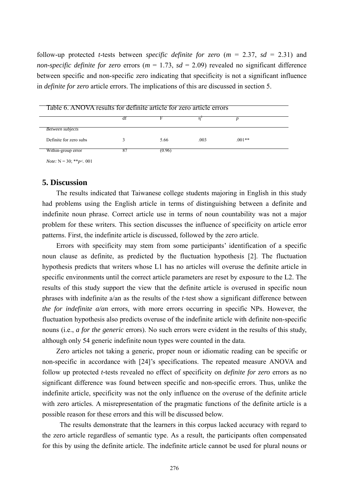follow-up protected *t*-tests between *specific definite for zero*  $(m = 2.37, sd = 2.31)$  and *non-specific definite for zero* errors ( $m = 1.73$ ,  $sd = 2.09$ ) revealed no significant difference between specific and non-specific zero indicating that specificity is not a significant influence in *definite for zero* article errors. The implications of this are discussed in section 5.

| Table 6. ANOVA results for definite article for zero article errors |    |        |      |          |  |
|---------------------------------------------------------------------|----|--------|------|----------|--|
|                                                                     | aι |        |      |          |  |
| Between subjects                                                    |    |        |      |          |  |
| Definite for zero subs                                              |    | 5.66   | .003 | $.001**$ |  |
| Within-group error                                                  |    | (0.96) |      |          |  |

*Note:* N = 30; \*\**p*<. 001

## **5. Discussion**

 The results indicated that Taiwanese college students majoring in English in this study had problems using the English article in terms of distinguishing between a definite and indefinite noun phrase. Correct article use in terms of noun countability was not a major problem for these writers. This section discusses the influence of specificity on article error patterns. First, the indefinite article is discussed, followed by the zero article.

Errors with specificity may stem from some participants' identification of a specific noun clause as definite, as predicted by the fluctuation hypothesis [2]. The fluctuation hypothesis predicts that writers whose L1 has no articles will overuse the definite article in specific environments until the correct article parameters are reset by exposure to the L2. The results of this study support the view that the definite article is overused in specific noun phrases with indefinite a/an as the results of the *t*-test show a significant difference between *the for indefinite a/an* errors, with more errors occurring in specific NPs. However, the fluctuation hypothesis also predicts overuse of the indefinite article with definite non-specific nouns (i.e., *a for the generic* errors). No such errors were evident in the results of this study, although only 54 generic indefinite noun types were counted in the data.

Zero articles not taking a generic, proper noun or idiomatic reading can be specific or non-specific in accordance with [24]'s specifications. The repeated measure ANOVA and follow up protected *t-*tests revealed no effect of specificity on *definite for zero* errors as no significant difference was found between specific and non-specific errors. Thus, unlike the indefinite article, specificity was not the only influence on the overuse of the definite article with zero articles. A misrepresentation of the pragmatic functions of the definite article is a possible reason for these errors and this will be discussed below.

 The results demonstrate that the learners in this corpus lacked accuracy with regard to the zero article regardless of semantic type. As a result, the participants often compensated for this by using the definite article. The indefinite article cannot be used for plural nouns or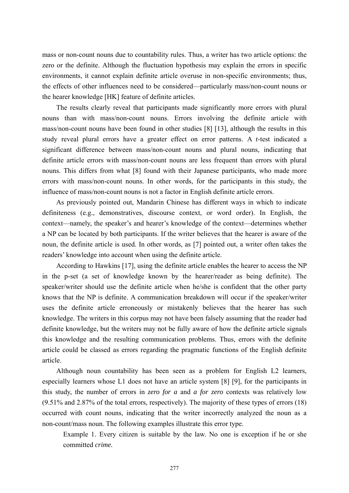mass or non-count nouns due to countability rules. Thus, a writer has two article options: the zero or the definite. Although the fluctuation hypothesis may explain the errors in specific environments, it cannot explain definite article overuse in non-specific environments; thus, the effects of other influences need to be considered—particularly mass/non-count nouns or the hearer knowledge [HK] feature of definite articles.

The results clearly reveal that participants made significantly more errors with plural nouns than with mass/non-count nouns. Errors involving the definite article with mass/non-count nouns have been found in other studies [8] [13], although the results in this study reveal plural errors have a greater effect on error patterns. A *t*-test indicated a significant difference between mass/non-count nouns and plural nouns, indicating that definite article errors with mass/non-count nouns are less frequent than errors with plural nouns. This differs from what [8] found with their Japanese participants, who made more errors with mass/non-count nouns. In other words, for the participants in this study, the influence of mass/non-count nouns is not a factor in English definite article errors.

As previously pointed out, Mandarin Chinese has different ways in which to indicate definiteness (e.g., demonstratives, discourse context, or word order). In English, the context—namely, the speaker's and hearer's knowledge of the context—determines whether a NP can be located by both participants. If the writer believes that the hearer is aware of the noun, the definite article is used. In other words, as [7] pointed out, a writer often takes the readers' knowledge into account when using the definite article.

According to Hawkins [17], using the definite article enables the hearer to access the NP in the p-set (a set of knowledge known by the hearer/reader as being definite). The speaker/writer should use the definite article when he/she is confident that the other party knows that the NP is definite. A communication breakdown will occur if the speaker/writer uses the definite article erroneously or mistakenly believes that the hearer has such knowledge. The writers in this corpus may not have been falsely assuming that the reader had definite knowledge, but the writers may not be fully aware of how the definite article signals this knowledge and the resulting communication problems. Thus, errors with the definite article could be classed as errors regarding the pragmatic functions of the English definite article.

Although noun countability has been seen as a problem for English L2 learners, especially learners whose L1 does not have an article system [8] [9], for the participants in this study, the number of errors in *zero for a* and *a for zero* contexts was relatively low (9.51% and 2.87% of the total errors, respectively). The majority of these types of errors (18) occurred with count nouns, indicating that the writer incorrectly analyzed the noun as a non-count/mass noun. The following examples illustrate this error type.

Example 1. Every citizen is suitable by the law. No one is exception if he or she committed *crime.*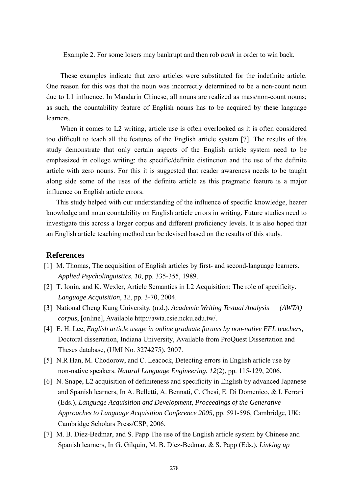Example 2. For some losers may bankrupt and then rob *bank* in order to win back.

These examples indicate that zero articles were substituted for the indefinite article. One reason for this was that the noun was incorrectly determined to be a non-count noun due to L1 influence. In Mandarin Chinese, all nouns are realized as mass/non-count nouns; as such, the countability feature of English nouns has to be acquired by these language learners.

When it comes to L2 writing, article use is often overlooked as it is often considered too difficult to teach all the features of the English article system [7]. The results of this study demonstrate that only certain aspects of the English article system need to be emphasized in college writing: the specific/definite distinction and the use of the definite article with zero nouns. For this it is suggested that reader awareness needs to be taught along side some of the uses of the definite article as this pragmatic feature is a major influence on English article errors.

 This study helped with our understanding of the influence of specific knowledge, hearer knowledge and noun countability on English article errors in writing. Future studies need to investigate this across a larger corpus and different proficiency levels. It is also hoped that an English article teaching method can be devised based on the results of this study.

### **References**

- [1] M. Thomas, The acquisition of English articles by first- and second-language learners. *Applied Psycholinguistics, 10*, pp. 335-355, 1989.
- [2] T. Ionin, and K. Wexler, Article Semantics in L2 Acquisition: The role of specificity. *Language Acquisition*, *12*, pp. 3-70, 2004.
- [3] National Cheng Kung University. (n.d.). *Academic Writing Textual Analysis (AWTA) corpus*, [online], Available http://awta.csie.ncku.edu.tw/.
- [4] E. H. Lee, *English article usage in online graduate forums by non-native EFL teachers,*  Doctoral dissertation, Indiana University, Available from ProQuest Dissertation and Theses database, (UMI No. 3274275), 2007.
- [5] N.R Han, M. Chodorow, and C. Leacock, Detecting errors in English article use by non-native speakers. *Natural Language Engineering*, *12*(2), pp. 115-129, 2006.
- [6] N. Snape, L2 acquisition of definiteness and specificity in English by advanced Japanese and Spanish learners, In A. Belletti, A. Bennati, C. Chesi, E. Di Domenico, & I. Ferrari (Eds.), *Language Acquisition and Development, Proceedings of the Generative Approaches to Language Acquisition Conference 2005,* pp. 591-596, Cambridge, UK: Cambridge Scholars Press/CSP, 2006.
- [7] M. B. Diez-Bedmar, and S. Papp The use of the English article system by Chinese and Spanish learners, In G. Gilquin, M. B. Diez-Bedmar, & S. Papp (Eds.), *Linking up*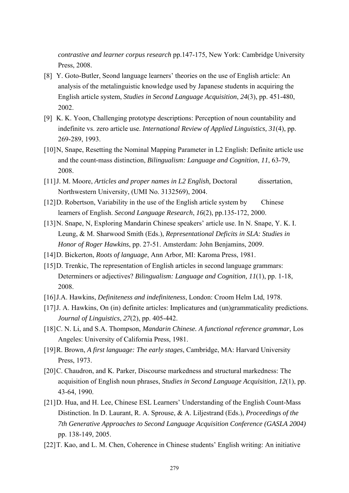*contrastive and learner corpus research* pp.147-175, New York: Cambridge University Press, 2008.

- [8] Y. Goto-Butler, Seond language learners' theories on the use of English article: An analysis of the metalinguistic knowledge used by Japanese students in acquiring the English article system, *Studies in Second Language Acquisition*, *24*(3), pp. 451-480, 2002.
- [9] K. K. Yoon, Challenging prototype descriptions: Perception of noun countability and indefinite vs. zero article use. *International Review of Applied Linguistics, 31*(4), pp. 269-289, 1993.
- [10]N, Snape, Resetting the Nominal Mapping Parameter in L2 English: Definite article use and the count-mass distinction, *Bilingualism: Language and Cognition*, *11*, 63-79, 2008.
- [11]J. M. Moore, *Articles and proper names in L2 English,* Doctoral dissertation, Northwestern University, (UMI No. 3132569), 2004.
- [12]D. Robertson, Variability in the use of the English article system by Chinese learners of English. *Second Language Research*, *16*(2), pp.135-172, 2000.
- [13]N. Snape, N, Exploring Mandarin Chinese speakers' article use. In N. Snape, Y. K. I. Leung, & M. Sharwood Smith (Eds.), *Representational Deficits in SLA: Studies in Honor of Roger Hawkins*, pp. 27-51. Amsterdam: John Benjamins, 2009.
- [14]D. Bickerton, *Roots of language*, Ann Arbor, MI: Karoma Press, 1981.
- [15]D. Trenkic, The representation of English articles in second language grammars: Determiners or adjectives? *Bilingualism: Language and Cognition, 11*(1), pp. 1-18, 2008.
- [16]J.A. Hawkins, *Definiteness and indefiniteness*, London: Croom Helm Ltd, 1978.
- [17] J. A. Hawkins, On (in) definite articles: Implicatures and (un)grammaticality predictions. *Journal of Linguistics*, *27*(2), pp. 405-442.
- [18]C. N. Li, and S.A. Thompson, *Mandarin Chinese. A functional reference grammar*, Los Angeles: University of California Press, 1981.
- [19]R. Brown, *A first language: The early stages*, Cambridge, MA: Harvard University Press, 1973.
- [20]C. Chaudron, and K. Parker, Discourse markedness and structural markedness: The acquisition of English noun phrases, *Studies in Second Language Acquisition*, *12*(1), pp. 43-64, 1990.
- [21]D. Hua, and H. Lee, Chinese ESL Learners' Understanding of the English Count-Mass Distinction. In D. Laurant, R. A. Sprouse, & A. Liljestrand (Eds.), *Proceedings of the 7th Generative Approaches to Second Language Acquisition Conference (GASLA 2004)* pp. 138-149, 2005.
- [22]T. Kao, and L. M. Chen, Coherence in Chinese students' English writing: An initiative